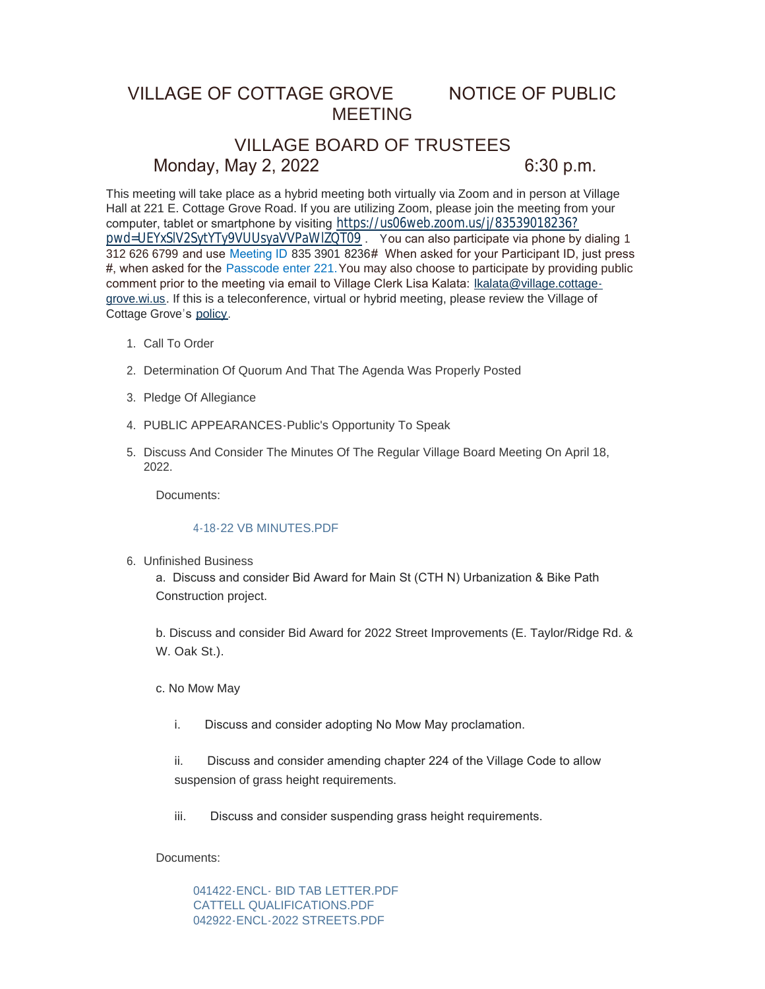## VILLAGE OF COTTAGE GROVE NOTICE OF PUBLIC MEETING

# VILLAGE BOARD OF TRUSTEES Monday, May 2, 2022 6:30 p.m.

This meeting will take place as a hybrid meeting both virtually via Zoom and in person at Village Hall at 221 E. Cottage Grove Road. If you are utilizing Zoom, please join the meeting from your computer, tablet or smartphone by visiting [https://us06web.zoom.us/j/83539018236?](https://us06web.zoom.us/j/83539018236?pwd=UEYxSlV2SytYTy9VUUsyaVVPaWlZQT09) pwd=UEYxSlV2SytYTy9VUUsyaVVPaWlZQT09 . You can also participate via phone by dialing 1 312 626 6799 and use Meeting ID 835 3901 8236# When asked for your Participant ID, just press #, when asked for the Passcode enter 221.You may also choose to participate by providing public comment prior to the meeting via email to Village Clerk Lisa Kalata: Ikalata@village.cottagegrove.wi.us. If this is a teleconference, virtual or hybrid meeting, plea[se review the Village of](mailto:lkalata@village.cottage-grove.wi.us)  Cottage Grove's [policy](https://www.vi.cottagegrove.wi.gov/DocumentCenter/View/1850/Virtual-Hybrid-Tele-meeting-Policy-Final).

- 1. Call To Order
- 2. Determination Of Quorum And That The Agenda Was Properly Posted
- 3. Pledge Of Allegiance
- PUBLIC APPEARANCES-Public's Opportunity To Speak 4.
- 5. Discuss And Consider The Minutes Of The Regular Village Board Meeting On April 18, 2022.

Documents:

#### [4-18-22 VB MINUTES.PDF](https://www.vi.cottagegrove.wi.gov/AgendaCenter/ViewFile/Item/9956?fileID=19580)

Unfinished Business 6.

a. Discuss and consider Bid Award for Main St (CTH N) Urbanization & Bike Path Construction project.

b. Discuss and consider Bid Award for 2022 Street Improvements (E. Taylor/Ridge Rd. & W. Oak St.).

c. No Mow May

i. Discuss and consider adopting No Mow May proclamation.

ii. Discuss and consider amending chapter 224 of the Village Code to allow suspension of grass height requirements.

iii. Discuss and consider suspending grass height requirements.

Documents:

[041422-ENCL- BID TAB LETTER.PDF](https://www.vi.cottagegrove.wi.gov/AgendaCenter/ViewFile/Item/9993?fileID=19631) [CATTELL QUALIFICATIONS.PDF](https://www.vi.cottagegrove.wi.gov/AgendaCenter/ViewFile/Item/9993?fileID=19632) [042922-ENCL-2022 STREETS.PDF](https://www.vi.cottagegrove.wi.gov/AgendaCenter/ViewFile/Item/9993?fileID=19633)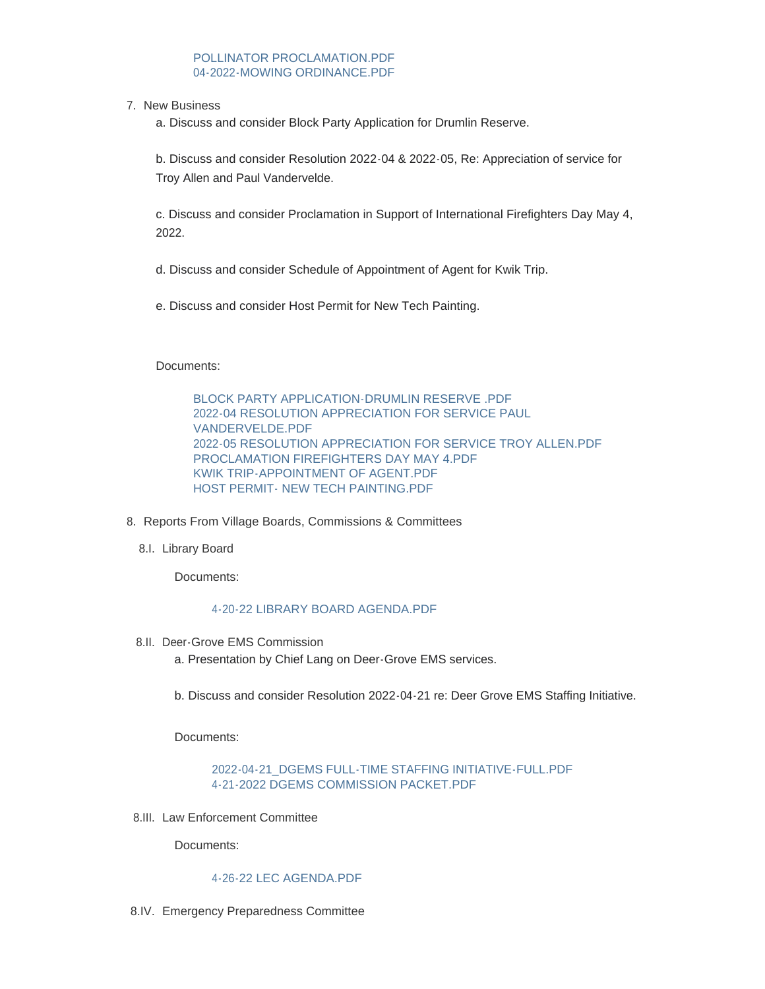## [POLLINATOR PROCLAMATION.PDF](https://www.vi.cottagegrove.wi.gov/AgendaCenter/ViewFile/Item/9993?fileID=19634) [04-2022-MOWING ORDINANCE.PDF](https://www.vi.cottagegrove.wi.gov/AgendaCenter/ViewFile/Item/9993?fileID=19635)

7. New Business

a. Discuss and consider Block Party Application for Drumlin Reserve.

b. Discuss and consider Resolution 2022-04 & 2022-05, Re: Appreciation of service for Troy Allen and Paul Vandervelde.

c. Discuss and consider Proclamation in Support of International Firefighters Day May 4, 2022.

d. Discuss and consider Schedule of Appointment of Agent for Kwik Trip.

e. Discuss and consider Host Permit for New Tech Painting.

Documents:

[BLOCK PARTY APPLICATION-DRUMLIN RESERVE .PDF](https://www.vi.cottagegrove.wi.gov/AgendaCenter/ViewFile/Item/9979?fileID=19608) [2022-04 RESOLUTION APPRECIATION FOR SERVICE PAUL](https://www.vi.cottagegrove.wi.gov/AgendaCenter/ViewFile/Item/9979?fileID=19609)  VANDERVELDE.PDF [2022-05 RESOLUTION APPRECIATION FOR SERVICE TROY ALLEN.PDF](https://www.vi.cottagegrove.wi.gov/AgendaCenter/ViewFile/Item/9979?fileID=19610) [PROCLAMATION FIREFIGHTERS DAY MAY 4.PDF](https://www.vi.cottagegrove.wi.gov/AgendaCenter/ViewFile/Item/9979?fileID=19611) [KWIK TRIP-APPOINTMENT OF AGENT.PDF](https://www.vi.cottagegrove.wi.gov/AgendaCenter/ViewFile/Item/9979?fileID=19612) [HOST PERMIT- NEW TECH PAINTING.PDF](https://www.vi.cottagegrove.wi.gov/AgendaCenter/ViewFile/Item/9979?fileID=19613)

- 8. Reports From Village Boards, Commissions & Committees
	- 8.I. Library Board

Documents:

### [4-20-22 LIBRARY BOARD AGENDA.PDF](https://www.vi.cottagegrove.wi.gov/AgendaCenter/ViewFile/Item/9960?fileID=19585)

8.II. Deer-Grove EMS Commission

a. Presentation by Chief Lang on Deer-Grove EMS services.

b. Discuss and consider Resolution 2022-04-21 re: Deer Grove EMS Staffing Initiative.

Documents:

## [2022-04-21\\_DGEMS FULL-TIME STAFFING INITIATIVE-FULL.PDF](https://www.vi.cottagegrove.wi.gov/AgendaCenter/ViewFile/Item/9992?fileID=19626) [4-21-2022 DGEMS COMMISSION PACKET.PDF](https://www.vi.cottagegrove.wi.gov/AgendaCenter/ViewFile/Item/9992?fileID=19627)

8.III. Law Enforcement Committee

Documents:

#### [4-26-22 LEC AGENDA.PDF](https://www.vi.cottagegrove.wi.gov/AgendaCenter/ViewFile/Item/9962?fileID=19587)

8.IV. Emergency Preparedness Committee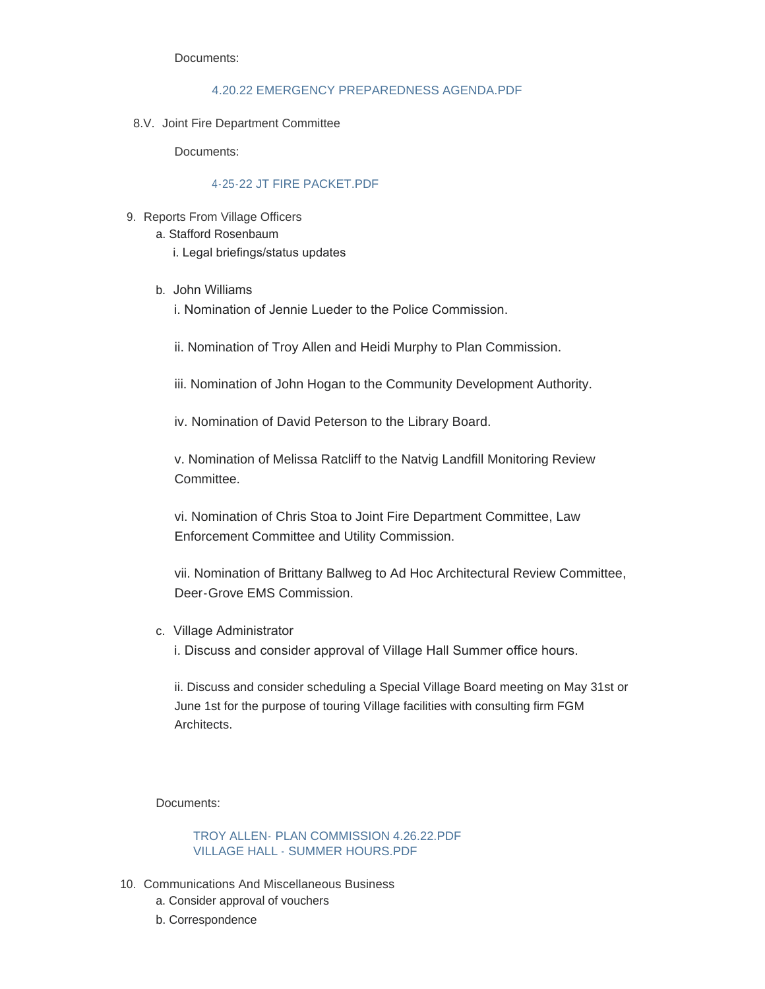Documents:

### [4.20.22 EMERGENCY PREPAREDNESS AGENDA.PDF](https://www.vi.cottagegrove.wi.gov/AgendaCenter/ViewFile/Item/9964?fileID=19589)

8.V. Joint Fire Department Committee

Documents:

## [4-25-22 JT FIRE PACKET.PDF](https://www.vi.cottagegrove.wi.gov/AgendaCenter/ViewFile/Item/9965?fileID=19590)

- 9. Reports From Village Officers
	- a. Stafford Rosenbaum i. Legal briefings/status updates
	- b. John Williams

i. Nomination of Jennie Lueder to the Police Commission.

ii. Nomination of Troy Allen and Heidi Murphy to Plan Commission.

iii. Nomination of John Hogan to the Community Development Authority.

iv. Nomination of David Peterson to the Library Board.

v. Nomination of Melissa Ratcliff to the Natvig Landfill Monitoring Review **Committee** 

vi. Nomination of Chris Stoa to Joint Fire Department Committee, Law Enforcement Committee and Utility Commission.

vii. Nomination of Brittany Ballweg to Ad Hoc Architectural Review Committee, Deer-Grove EMS Commission.

c. Village Administrator

i. Discuss and consider approval of Village Hall Summer office hours.

ii. Discuss and consider scheduling a Special Village Board meeting on May 31st or June 1st for the purpose of touring Village facilities with consulting firm FGM Architects.

Documents:

[TROY ALLEN- PLAN COMMISSION 4.26.22.PDF](https://www.vi.cottagegrove.wi.gov/AgendaCenter/ViewFile/Item/10009?fileID=19647) [VILLAGE HALL - SUMMER HOURS.PDF](https://www.vi.cottagegrove.wi.gov/AgendaCenter/ViewFile/Item/10009?fileID=19648)

- 10. Communications And Miscellaneous Business
	- a. Consider approval of vouchers
	- b. Correspondence